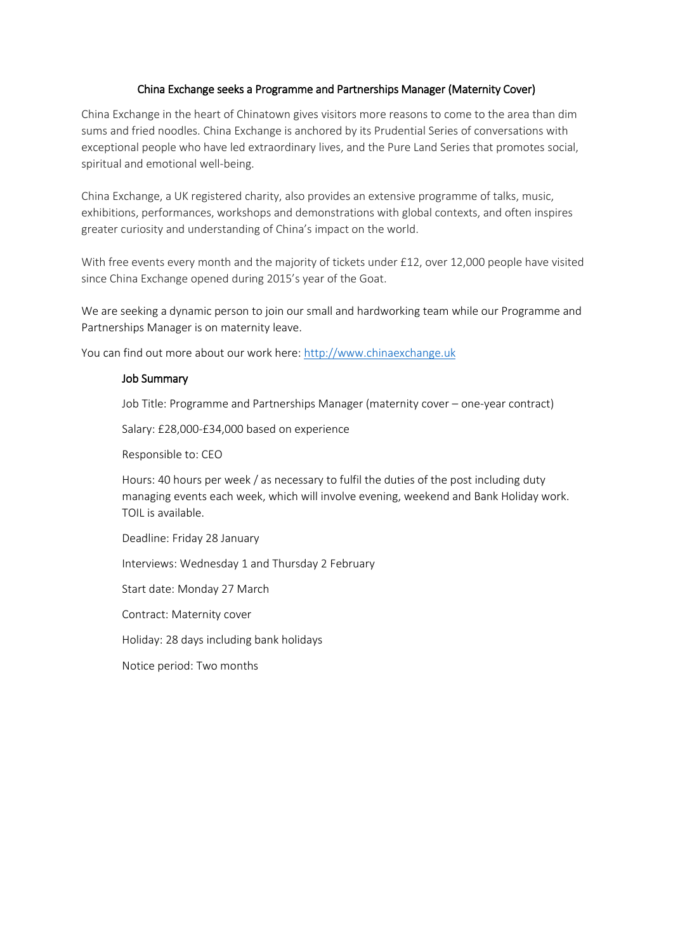# China Exchange seeks a Programme and Partnerships Manager (Maternity Cover)

China Exchange in the heart of Chinatown gives visitors more reasons to come to the area than dim sums and fried noodles. China Exchange is anchored by its Prudential Series of conversations with exceptional people who have led extraordinary lives, and the Pure Land Series that promotes social, spiritual and emotional well-being.

China Exchange, a UK registered charity, also provides an extensive programme of talks, music, exhibitions, performances, workshops and demonstrations with global contexts, and often inspires greater curiosity and understanding of China's impact on the world.

With free events every month and the majority of tickets under £12, over 12,000 people have visited since China Exchange opened during 2015's year of the Goat.

We are seeking a dynamic person to join our small and hardworking team while our Programme and Partnerships Manager is on maternity leave.

You can find out more about our work here: [http://www.chinaexchange.uk](http://www.chinaexchange.uk/)

#### Job Summary

Job Title: Programme and Partnerships Manager (maternity cover – one-year contract)

Salary: £28,000-£34,000 based on experience

Responsible to: CEO

Hours: 40 hours per week / as necessary to fulfil the duties of the post including duty managing events each week, which will involve evening, weekend and Bank Holiday work. TOIL is available.

Deadline: Friday 28 January

Interviews: Wednesday 1 and Thursday 2 February

Start date: Monday 27 March

Contract: Maternity cover

Holiday: 28 days including bank holidays

Notice period: Two months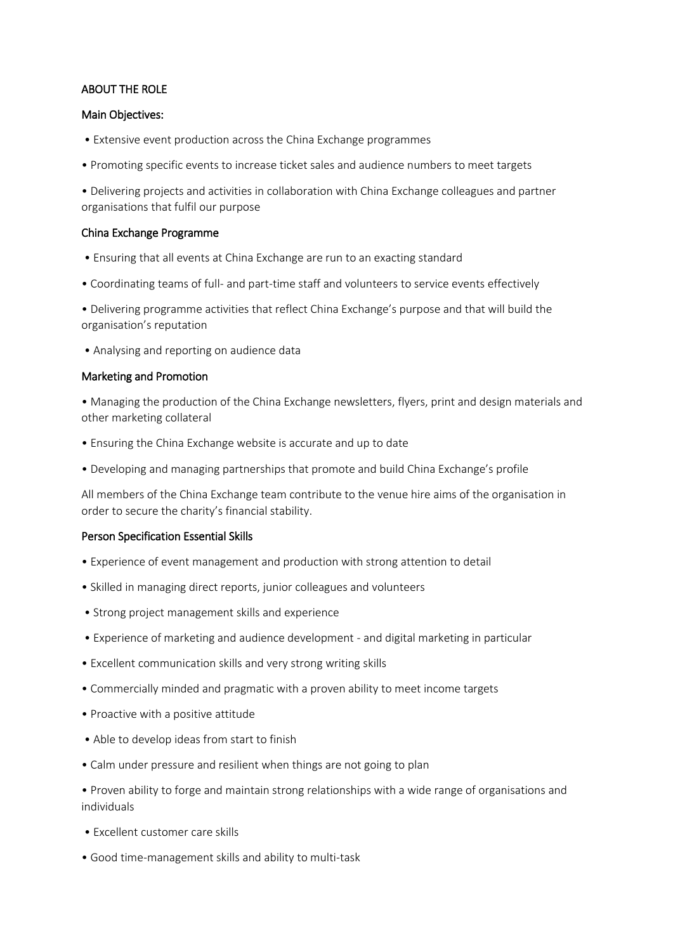# ABOUT THE ROLE

### Main Objectives:

- Extensive event production across the China Exchange programmes
- Promoting specific events to increase ticket sales and audience numbers to meet targets

• Delivering projects and activities in collaboration with China Exchange colleagues and partner organisations that fulfil our purpose

#### China Exchange Programme

- Ensuring that all events at China Exchange are run to an exacting standard
- Coordinating teams of full- and part-time staff and volunteers to service events effectively

• Delivering programme activities that reflect China Exchange's purpose and that will build the organisation's reputation

• Analysing and reporting on audience data

#### Marketing and Promotion

- Managing the production of the China Exchange newsletters, flyers, print and design materials and other marketing collateral
- Ensuring the China Exchange website is accurate and up to date
- Developing and managing partnerships that promote and build China Exchange's profile

All members of the China Exchange team contribute to the venue hire aims of the organisation in order to secure the charity's financial stability.

### Person Specification Essential Skills

- Experience of event management and production with strong attention to detail
- Skilled in managing direct reports, junior colleagues and volunteers
- Strong project management skills and experience
- Experience of marketing and audience development and digital marketing in particular
- Excellent communication skills and very strong writing skills
- Commercially minded and pragmatic with a proven ability to meet income targets
- Proactive with a positive attitude
- Able to develop ideas from start to finish
- Calm under pressure and resilient when things are not going to plan
- Proven ability to forge and maintain strong relationships with a wide range of organisations and individuals
- Excellent customer care skills
- Good time-management skills and ability to multi-task